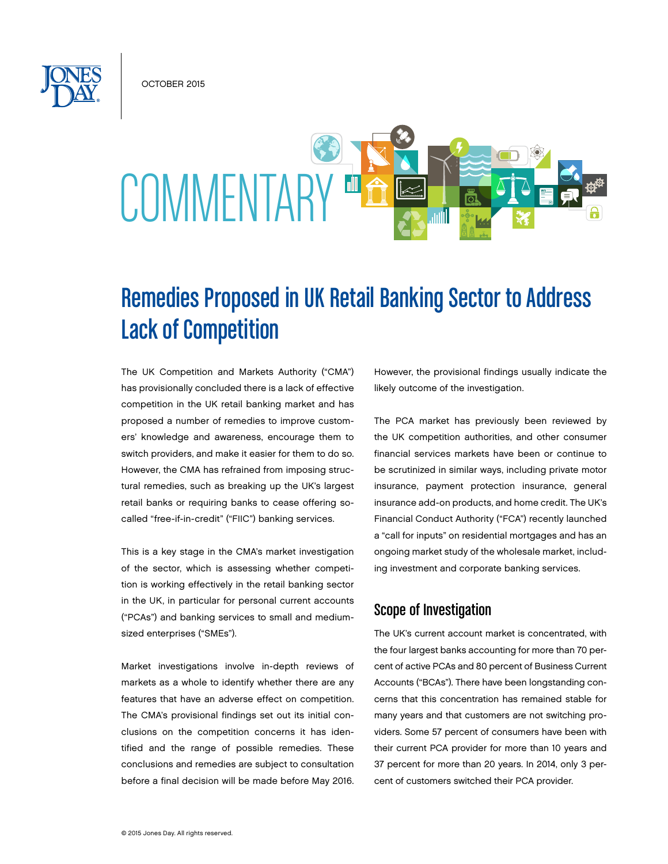OCTOBER 2015

# **COMMENTARY**

# Remedies Proposed in UK Retail Banking Sector to Address Lack of Competition

The UK Competition and Markets Authority ("CMA") has provisionally concluded there is a lack of effective competition in the UK retail banking market and has proposed a number of remedies to improve customers' knowledge and awareness, encourage them to switch providers, and make it easier for them to do so. However, the CMA has refrained from imposing structural remedies, such as breaking up the UK's largest retail banks or requiring banks to cease offering socalled "free-if-in-credit" ("FIIC") banking services.

This is a key stage in the CMA's market investigation of the sector, which is assessing whether competition is working effectively in the retail banking sector in the UK, in particular for personal current accounts ("PCAs") and banking services to small and mediumsized enterprises ("SMEs").

Market investigations involve in-depth reviews of markets as a whole to identify whether there are any features that have an adverse effect on competition. The CMA's provisional findings set out its initial conclusions on the competition concerns it has identified and the range of possible remedies. These conclusions and remedies are subject to consultation before a final decision will be made before May 2016. However, the provisional findings usually indicate the likely outcome of the investigation.

The PCA market has previously been reviewed by the UK competition authorities, and other consumer financial services markets have been or continue to be scrutinized in similar ways, including private motor insurance, payment protection insurance, general insurance add-on products, and home credit. The UK's Financial Conduct Authority ("FCA") recently launched a "call for inputs" on residential mortgages and has an ongoing market study of the wholesale market, including investment and corporate banking services.

# Scope of Investigation

The UK's current account market is concentrated, with the four largest banks accounting for more than 70 percent of active PCAs and 80 percent of Business Current Accounts ("BCAs"). There have been longstanding concerns that this concentration has remained stable for many years and that customers are not switching providers. Some 57 percent of consumers have been with their current PCA provider for more than 10 years and 37 percent for more than 20 years. In 2014, only 3 percent of customers switched their PCA provider.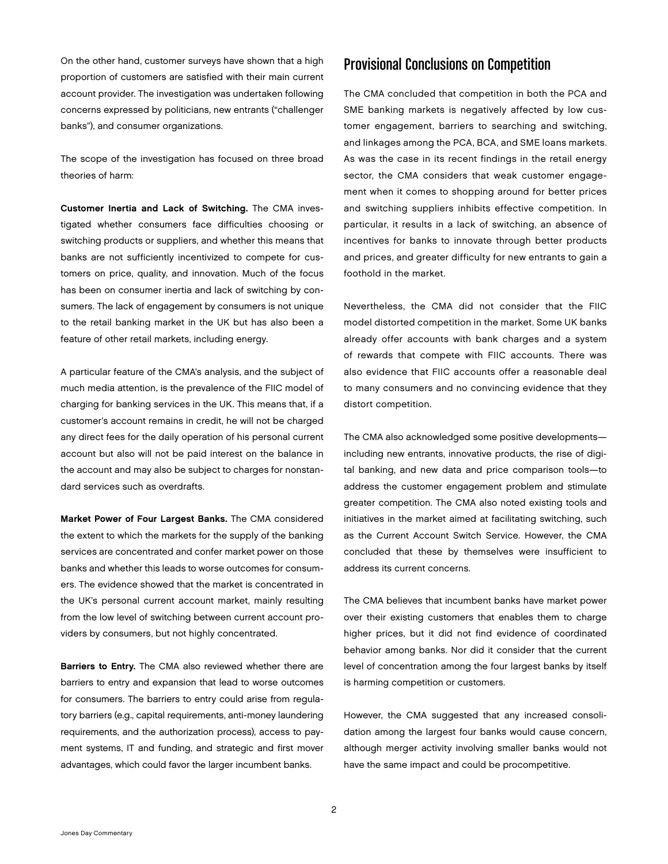On the other hand, customer surveys have shown that a high proportion of customers are satisfied with their main current account provider. The investigation was undertaken following concerns expressed by politicians, new entrants ("challenger banks"), and consumer organizations.

The scope of the investigation has focused on three broad theories of harm:

Customer Inertia and Lack of Switching. The CMA investigated whether consumers face difficulties choosing or switching products or suppliers, and whether this means that banks are not sufficiently incentivized to compete for customers on price, quality, and innovation. Much of the focus has been on consumer inertia and lack of switching by consumers. The lack of engagement by consumers is not unique to the retail banking market in the UK but has also been a feature of other retail markets, including energy.

A particular feature of the CMA's analysis, and the subject of much media attention, is the prevalence of the FIIC model of charging for banking services in the UK. This means that, if a customer's account remains in credit, he will not be charged any direct fees for the daily operation of his personal current account but also will not be paid interest on the balance in the account and may also be subject to charges for nonstandard services such as overdrafts.

Market Power of Four Largest Banks. The CMA considered the extent to which the markets for the supply of the banking services are concentrated and confer market power on those banks and whether this leads to worse outcomes for consumers. The evidence showed that the market is concentrated in the UK's personal current account market, mainly resulting from the low level of switching between current account providers by consumers, but not highly concentrated.

Barriers to Entry. The CMA also reviewed whether there are barriers to entry and expansion that lead to worse outcomes for consumers. The barriers to entry could arise from regulatory barriers (e.g., capital requirements, anti-money laundering requirements, and the authorization process), access to payment systems, IT and funding, and strategic and first mover advantages, which could favor the larger incumbent banks.

# Provisional Conclusions on Competition

The CMA concluded that competition in both the PCA and SME banking markets is negatively affected by low customer engagement, barriers to searching and switching, and linkages among the PCA, BCA, and SME loans markets. As was the case in its recent findings in the retail energy sector, the CMA considers that weak customer engagement when it comes to shopping around for better prices and switching suppliers inhibits effective competition. In particular, it results in a lack of switching, an absence of incentives for banks to innovate through better products and prices, and greater difficulty for new entrants to gain a foothold in the market.

Nevertheless, the CMA did not consider that the FIIC model distorted competition in the market. Some UK banks already offer accounts with bank charges and a system of rewards that compete with FIIC accounts. There was also evidence that FIIC accounts offer a reasonable deal to many consumers and no convincing evidence that they distort competition.

The CMA also acknowledged some positive developments including new entrants, innovative products, the rise of digital banking, and new data and price comparison tools—to address the customer engagement problem and stimulate greater competition. The CMA also noted existing tools and initiatives in the market aimed at facilitating switching, such as the Current Account Switch Service. However, the CMA concluded that these by themselves were insufficient to address its current concerns.

The CMA believes that incumbent banks have market power over their existing customers that enables them to charge higher prices, but it did not find evidence of coordinated behavior among banks. Nor did it consider that the current level of concentration among the four largest banks by itself is harming competition or customers.

However, the CMA suggested that any increased consolidation among the largest four banks would cause concern, although merger activity involving smaller banks would not have the same impact and could be procompetitive.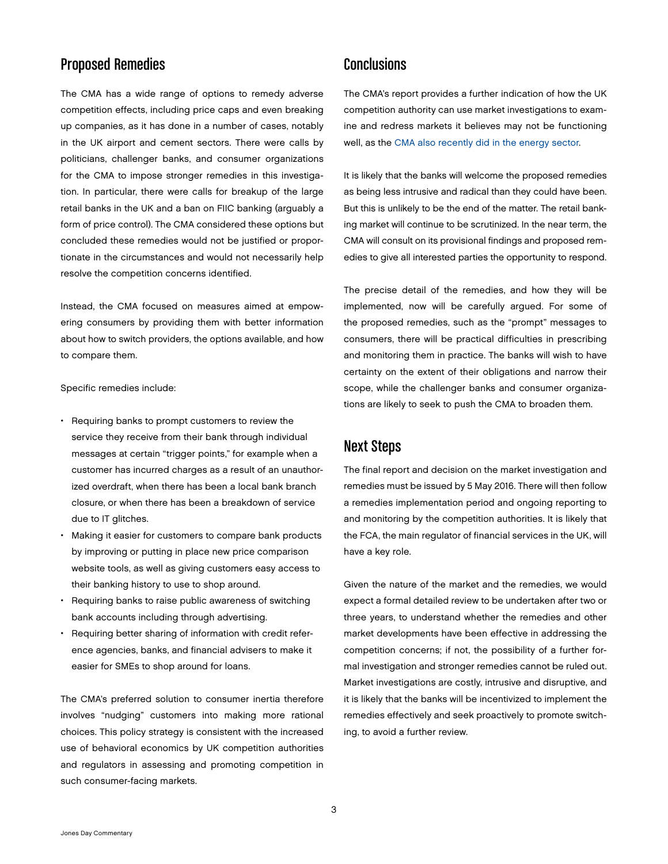# Proposed Remedies

The CMA has a wide range of options to remedy adverse competition effects, including price caps and even breaking up companies, as it has done in a number of cases, notably in the UK airport and cement sectors. There were calls by politicians, challenger banks, and consumer organizations for the CMA to impose stronger remedies in this investigation. In particular, there were calls for breakup of the large retail banks in the UK and a ban on FIIC banking (arguably a form of price control). The CMA considered these options but concluded these remedies would not be justified or proportionate in the circumstances and would not necessarily help resolve the competition concerns identified.

Instead, the CMA focused on measures aimed at empowering consumers by providing them with better information about how to switch providers, the options available, and how to compare them.

Specific remedies include:

- Requiring banks to prompt customers to review the service they receive from their bank through individual messages at certain "trigger points," for example when a customer has incurred charges as a result of an unauthorized overdraft, when there has been a local bank branch closure, or when there has been a breakdown of service due to IT glitches.
- Making it easier for customers to compare bank products by improving or putting in place new price comparison website tools, as well as giving customers easy access to their banking history to use to shop around.
- Requiring banks to raise public awareness of switching bank accounts including through advertising.
- Requiring better sharing of information with credit reference agencies, banks, and financial advisers to make it easier for SMEs to shop around for loans.

The CMA's preferred solution to consumer inertia therefore involves "nudging" customers into making more rational choices. This policy strategy is consistent with the increased use of behavioral economics by UK competition authorities and regulators in assessing and promoting competition in such consumer-facing markets.

#### **Conclusions**

The CMA's report provides a further indication of how the UK competition authority can use market investigations to examine and redress markets it believes may not be functioning well, as the [CMA also recently did in the energy sector.](http://www.jonesday.com/competition-concerns-identified-in-uk-energy-market-investigation-07-17-2015/)

It is likely that the banks will welcome the proposed remedies as being less intrusive and radical than they could have been. But this is unlikely to be the end of the matter. The retail banking market will continue to be scrutinized. In the near term, the CMA will consult on its provisional findings and proposed remedies to give all interested parties the opportunity to respond.

The precise detail of the remedies, and how they will be implemented, now will be carefully argued. For some of the proposed remedies, such as the "prompt" messages to consumers, there will be practical difficulties in prescribing and monitoring them in practice. The banks will wish to have certainty on the extent of their obligations and narrow their scope, while the challenger banks and consumer organizations are likely to seek to push the CMA to broaden them.

### Next Steps

The final report and decision on the market investigation and remedies must be issued by 5 May 2016. There will then follow a remedies implementation period and ongoing reporting to and monitoring by the competition authorities. It is likely that the FCA, the main regulator of financial services in the UK, will have a key role.

Given the nature of the market and the remedies, we would expect a formal detailed review to be undertaken after two or three years, to understand whether the remedies and other market developments have been effective in addressing the competition concerns; if not, the possibility of a further formal investigation and stronger remedies cannot be ruled out. Market investigations are costly, intrusive and disruptive, and it is likely that the banks will be incentivized to implement the remedies effectively and seek proactively to promote switching, to avoid a further review.